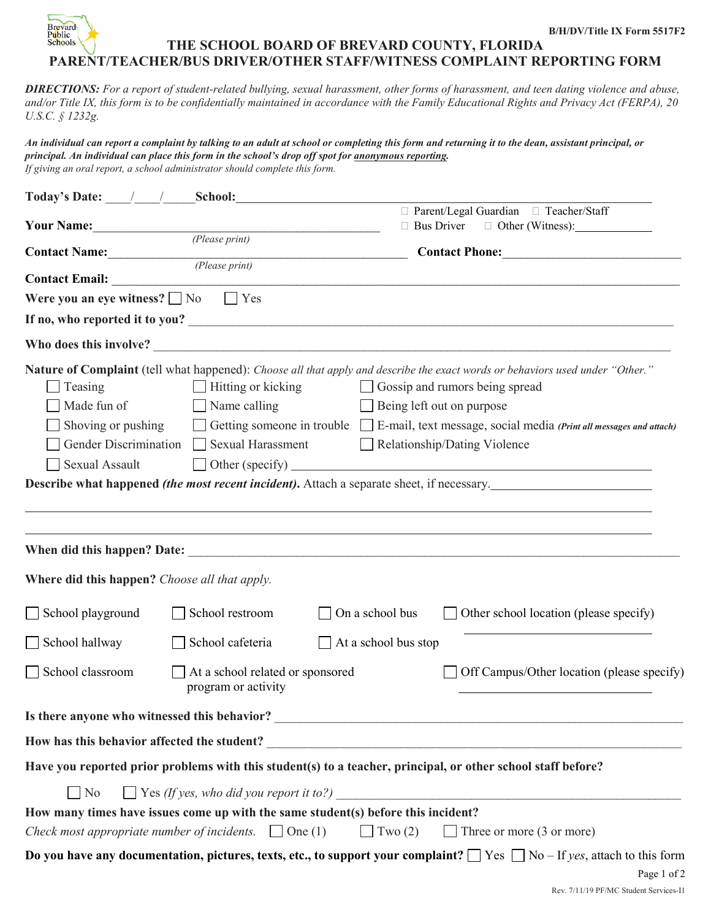

*DIRECTIONS: For a report of student-related bullying, sexual harassment, other forms of harassment, and teen dating violence and abuse, and/or Title IX, this form is to be confidentially maintained in accordance with the Family Educational Rights and Privacy Act (FERPA), 20 U.S.C. § 1232g.*

*An individual can report a complaint by talking to an adult at school or completing this form and returning it to the dean, assistant principal, or principal. An individual can place this form in the school's drop off spot for anonymous reporting. If giving an oral report, a school administrator should complete this form.* 

| Today's Date: / / School: School:                                                                               |                                                                                             |                      |                                                                                                                                                                                                                                                                                                                                                                                                                                                                                  |  |  |
|-----------------------------------------------------------------------------------------------------------------|---------------------------------------------------------------------------------------------|----------------------|----------------------------------------------------------------------------------------------------------------------------------------------------------------------------------------------------------------------------------------------------------------------------------------------------------------------------------------------------------------------------------------------------------------------------------------------------------------------------------|--|--|
|                                                                                                                 |                                                                                             |                      | □ Parent/Legal Guardian □ Teacher/Staff<br>$\Box$ Bus Driver $\Box$ Other (Witness):                                                                                                                                                                                                                                                                                                                                                                                             |  |  |
| Your Name: (Please print)                                                                                       |                                                                                             |                      |                                                                                                                                                                                                                                                                                                                                                                                                                                                                                  |  |  |
| <b>Contact Name:</b> ( <i>Please print</i> )                                                                    |                                                                                             |                      | <b>Contact Phone:</b>                                                                                                                                                                                                                                                                                                                                                                                                                                                            |  |  |
|                                                                                                                 |                                                                                             |                      |                                                                                                                                                                                                                                                                                                                                                                                                                                                                                  |  |  |
| Were you an eye witness? $\Box$ No $\Box$ Yes                                                                   |                                                                                             |                      |                                                                                                                                                                                                                                                                                                                                                                                                                                                                                  |  |  |
|                                                                                                                 |                                                                                             |                      |                                                                                                                                                                                                                                                                                                                                                                                                                                                                                  |  |  |
|                                                                                                                 |                                                                                             |                      |                                                                                                                                                                                                                                                                                                                                                                                                                                                                                  |  |  |
| Teasing<br>Made fun of<br>Shoving or pushing<br>Sexual Assault<br>Where did this happen? Choose all that apply. | $\Box$ Hitting or kicking<br>$\Box$ Name calling<br>Gender Discrimination Sexual Harassment |                      | Nature of Complaint (tell what happened): Choose all that apply and describe the exact words or behaviors used under "Other."<br>Gossip and rumors being spread<br>Being left out on purpose<br>Getting someone in trouble $\Box$ E-mail, text message, social media (Print all messages and attach)<br>Relationship/Dating Violence<br>$\Box$ Other (specify) $\Box$<br><b>Describe what happened <i>(the most recent incident)</i>.</b> Attach a separate sheet, if necessary. |  |  |
| School playground                                                                                               | School restroom                                                                             | On a school bus      | $\Box$ Other school location (please specify)                                                                                                                                                                                                                                                                                                                                                                                                                                    |  |  |
| School hallway                                                                                                  | School cafeteria                                                                            | At a school bus stop |                                                                                                                                                                                                                                                                                                                                                                                                                                                                                  |  |  |
| School classroom                                                                                                | At a school related or sponsored<br>program or activity                                     |                      | Off Campus/Other location (please specify)                                                                                                                                                                                                                                                                                                                                                                                                                                       |  |  |
|                                                                                                                 |                                                                                             |                      |                                                                                                                                                                                                                                                                                                                                                                                                                                                                                  |  |  |
|                                                                                                                 |                                                                                             |                      |                                                                                                                                                                                                                                                                                                                                                                                                                                                                                  |  |  |
|                                                                                                                 |                                                                                             |                      | Have you reported prior problems with this student(s) to a teacher, principal, or other school staff before?                                                                                                                                                                                                                                                                                                                                                                     |  |  |
| No                                                                                                              | $\Box$ Yes (If yes, who did you report it to?)                                              |                      |                                                                                                                                                                                                                                                                                                                                                                                                                                                                                  |  |  |
| How many times have issues come up with the same student(s) before this incident?                               |                                                                                             |                      |                                                                                                                                                                                                                                                                                                                                                                                                                                                                                  |  |  |
| Check most appropriate number of incidents. $\Box$ One (1)                                                      |                                                                                             | $\Box$ Two (2)       | $\Box$ Three or more (3 or more)                                                                                                                                                                                                                                                                                                                                                                                                                                                 |  |  |
|                                                                                                                 |                                                                                             |                      | Do you have any documentation, pictures, texts, etc., to support your complaint? $\Box$ Yes $\Box$ No – If yes, attach to this form<br>Page 1 of 2                                                                                                                                                                                                                                                                                                                               |  |  |

Rev. 7/11/19 PF/MC Student Services-I1